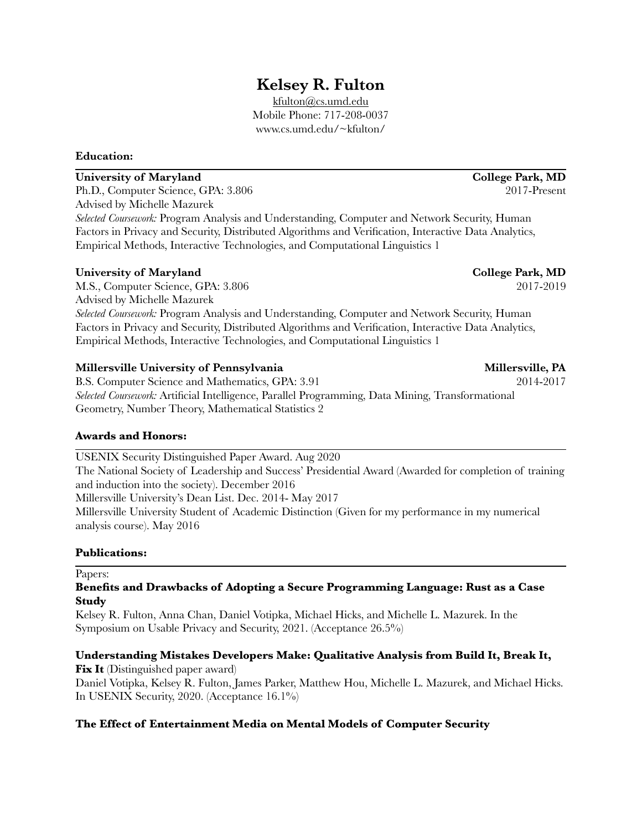# **Kelsey R. Fulton**

[kfulton@cs.umd.edu](mailto:kfulton@cs.umd.edu) Mobile Phone: 717-208-0037 www.cs.umd.edu/~kfulton/

# **Education:**

# **University of Maryland College Park, MD**

Ph.D., Computer Science, GPA: 3.806 2017-Present Advised by Michelle Mazurek *Selected Coursework:* Program Analysis and Understanding, Computer and Network Security, Human Factors in Privacy and Security, Distributed Algorithms and Verification, Interactive Data Analytics, Empirical Methods, Interactive Technologies, and Computational Linguistics 1

# **University of Maryland College Park, MD**

M.S., Computer Science, GPA: 3.806 2017-2019 Advised by Michelle Mazurek *Selected Coursework:* Program Analysis and Understanding, Computer and Network Security, Human Factors in Privacy and Security, Distributed Algorithms and Verification, Interactive Data Analytics, Empirical Methods, Interactive Technologies, and Computational Linguistics 1

# **Millersville University of Pennsylvania Millersville, PA**

B.S. Computer Science and Mathematics, GPA: 3.91 2014-2017 *Selected Coursework:* Artificial Intelligence, Parallel Programming, Data Mining, Transformational Geometry, Number Theory, Mathematical Statistics 2

# **Awards and Honors:**

USENIX Security Distinguished Paper Award. Aug 2020

The National Society of Leadership and Success' Presidential Award (Awarded for completion of training and induction into the society). December 2016 Millersville University's Dean List. Dec. 2014- May 2017

Millersville University Student of Academic Distinction (Given for my performance in my numerical analysis course). May 2016

# **Publications:**

Papers:

# **Benefits and Drawbacks of Adopting a Secure Programming Language: Rust as a Case Study**

Kelsey R. Fulton, Anna Chan, Daniel Votipka, Michael Hicks, and Michelle L. Mazurek. In the Symposium on Usable Privacy and Security, 2021. (Acceptance 26.5%)

# **Understanding Mistakes Developers Make: Qualitative Analysis from Build It, Break It,**

**Fix It** (Distinguished paper award) Daniel Votipka, Kelsey R. Fulton, James Parker, Matthew Hou, Michelle L. Mazurek, and Michael Hicks. In USENIX Security, 2020. (Acceptance 16.1%)

# **The Effect of Entertainment Media on Mental Models of Computer Security**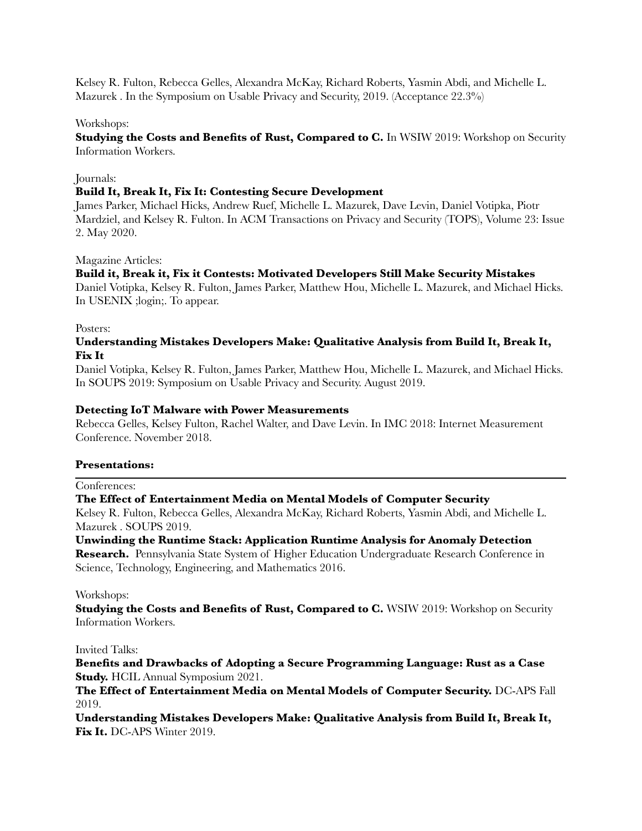Kelsey R. Fulton, Rebecca Gelles, Alexandra McKay, Richard Roberts, Yasmin Abdi, and Michelle L. Mazurek . In the Symposium on Usable Privacy and Security, 2019. (Acceptance 22.3%)

#### Workshops:

**Studying the Costs and Benefits of Rust, Compared to C.** In WSIW 2019: Workshop on Security Information Workers.

#### Journals:

#### **Build It, Break It, Fix It: Contesting Secure Development**

James Parker, Michael Hicks, Andrew Ruef, Michelle L. Mazurek, Dave Levin, Daniel Votipka, Piotr Mardziel, and Kelsey R. Fulton. In ACM Transactions on Privacy and Security (TOPS), Volume 23: Issue 2. May 2020.

#### Magazine Articles:

## **Build it, Break it, Fix it Contests: Motivated Developers Still Make Security Mistakes**

Daniel Votipka, Kelsey R. Fulton, James Parker, Matthew Hou, Michelle L. Mazurek, and Michael Hicks. In USENIX ;login;. To appear.

#### Posters:

# **Understanding Mistakes Developers Make: Qualitative Analysis from Build It, Break It, Fix It**

Daniel Votipka, Kelsey R. Fulton, James Parker, Matthew Hou, Michelle L. Mazurek, and Michael Hicks. In SOUPS 2019: Symposium on Usable Privacy and Security. August 2019.

## **Detecting IoT Malware with Power Measurements**

Rebecca Gelles, Kelsey Fulton, Rachel Walter, and Dave Levin. In IMC 2018: Internet Measurement Conference. November 2018.

#### **Presentations:**

#### Conferences:

#### **The Effect of Entertainment Media on Mental Models of Computer Security**

Kelsey R. Fulton, Rebecca Gelles, Alexandra McKay, Richard Roberts, Yasmin Abdi, and Michelle L. Mazurek . SOUPS 2019.

# **Unwinding the Runtime Stack: Application Runtime Analysis for Anomaly Detection**

**Research.** Pennsylvania State System of Higher Education Undergraduate Research Conference in Science, Technology, Engineering, and Mathematics 2016.

#### Workshops:

**Studying the Costs and Benefits of Rust, Compared to C. WSIW 2019: Workshop on Security** Information Workers.

#### Invited Talks:

# **Benefits and Drawbacks of Adopting a Secure Programming Language: Rust as a Case Study.** HCIL Annual Symposium 2021.

**The Effect of Entertainment Media on Mental Models of Computer Security.** DC-APS Fall 2019.

**Understanding Mistakes Developers Make: Qualitative Analysis from Build It, Break It, Fix It.** DC-APS Winter 2019.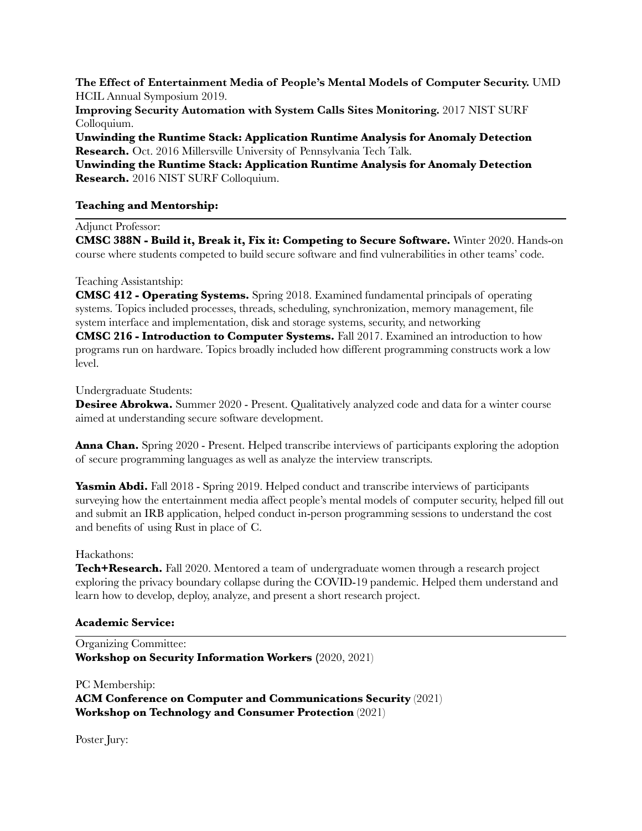**The Effect of Entertainment Media of People's Mental Models of Computer Security.** UMD HCIL Annual Symposium 2019.

**Improving Security Automation with System Calls Sites Monitoring.** 2017 NIST SURF Colloquium.

**Unwinding the Runtime Stack: Application Runtime Analysis for Anomaly Detection Research.** Oct. 2016 Millersville University of Pennsylvania Tech Talk.

**Unwinding the Runtime Stack: Application Runtime Analysis for Anomaly Detection Research.** 2016 NIST SURF Colloquium.

## **Teaching and Mentorship:**

Adjunct Professor:

**CMSC 388N - Build it, Break it, Fix it: Competing to Secure Software.** Winter 2020. Hands-on course where students competed to build secure software and find vulnerabilities in other teams' code.

#### Teaching Assistantship:

**CMSC 412 - Operating Systems.** Spring 2018. Examined fundamental principals of operating systems. Topics included processes, threads, scheduling, synchronization, memory management, file system interface and implementation, disk and storage systems, security, and networking

**CMSC 216 - Introduction to Computer Systems.** Fall 2017. Examined an introduction to how programs run on hardware. Topics broadly included how different programming constructs work a low level.

#### Undergraduate Students:

**Desiree Abrokwa.** Summer 2020 - Present. Qualitatively analyzed code and data for a winter course aimed at understanding secure software development.

**Anna Chan.** Spring 2020 - Present. Helped transcribe interviews of participants exploring the adoption of secure programming languages as well as analyze the interview transcripts.

**Yasmin Abdi.** Fall 2018 - Spring 2019. Helped conduct and transcribe interviews of participants surveying how the entertainment media affect people's mental models of computer security, helped fill out and submit an IRB application, helped conduct in-person programming sessions to understand the cost and benefits of using Rust in place of C.

#### Hackathons:

**Tech+Research.** Fall 2020. Mentored a team of undergraduate women through a research project exploring the privacy boundary collapse during the COVID-19 pandemic. Helped them understand and learn how to develop, deploy, analyze, and present a short research project.

# **Academic Service:**

Organizing Committee: **Workshop on Security Information Workers (**2020, 2021)

PC Membership: **ACM Conference on Computer and Communications Security** (2021) **Workshop on Technology and Consumer Protection** (2021)

Poster Jury: